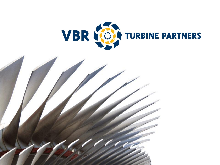

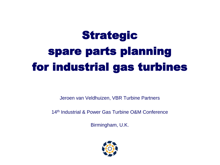# Strategic spare parts planning for industrial gas turbines

Jeroen van Veldhuizen, VBR Turbine Partners

14th Industrial & Power Gas Turbine O&M Conference

Birmingham, U.K.

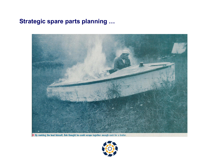#### **Strategic spare parts planning …**



By rewiring the boat himself, Bob thought he could scrape together enough cash for a trailer.

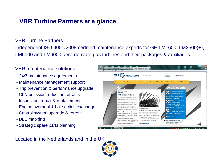#### **VBR Turbine Partners at a glance**

VBR Turbine Partners :

Independent ISO 9001/2008 certified maintenance experts for GE LM1600, LM2500(+), LM5000 and LM6000 aero-derivate gas turbines and their packages & auxiliaries.

#### VBR maintenance solutions

- 24/7 maintenance agreements
- Maintenance management support
- Trip prevention & performance upgrade
- CLN emission reduction retrofits
- Inspection, repair & replacement
- Engine overhaul & hot section exchange
- Control system upgrade & retrofit
- DLE mapping
- Strategic spare parts planning



Located in the Netherlands and in the UK

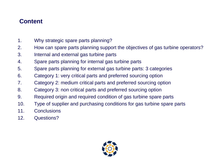## **Content**

- 1. Why strategic spare parts planning?
- 2. How can spare parts planning support the objectives of gas turbine operators?
- 3. Internal and external gas turbine parts
- 4. Spare parts planning for internal gas turbine parts
- 5. Spare parts planning for external gas turbine parts: 3 categories
- 6. Category 1: very critical parts and preferred sourcing option
- 7. Category 2: medium critical parts and preferred sourcing option
- 8. Category 3: non critical parts and preferred sourcing option
- 9. Required origin and required condition of gas turbine spare parts
- 10. Type of supplier and purchasing conditions for gas turbine spare parts
- 11. Conclusions
- 12. Questions?

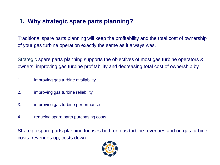## **1. Why strategic spare parts planning?**

Traditional spare parts planning will keep the profitability and the total cost of ownership of your gas turbine operation exactly the same as it always was.

Strategic spare parts planning supports the objectives of most gas turbine operators & owners: improving gas turbine profitability and decreasing total cost of ownership by

- 1. improving gas turbine availability
- 2. improving gas turbine reliability
- 3. improving gas turbine performance
- 4. reducing spare parts purchasing costs

Strategic spare parts planning focuses both on gas turbine revenues and on gas turbine costs: revenues up, costs down.

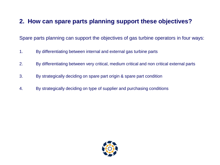#### **2. How can spare parts planning support these objectives?**

Spare parts planning can support the objectives of gas turbine operators in four ways:

- 1. By differentiating between internal and external gas turbine parts
- 2. By differentiating between very critical, medium critical and non critical external parts
- 3. By strategically deciding on spare part origin & spare part condition
- 4. By strategically deciding on type of supplier and purchasing conditions

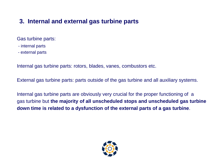#### **3. Internal and external gas turbine parts**

Gas turbine parts:

- internal parts
- external parts

Internal gas turbine parts: rotors, blades, vanes, combustors etc.

External gas turbine parts: parts outside of the gas turbine and all auxiliary systems.

Internal gas turbine parts are obviously very crucial for the proper functioning of a gas turbine but **the majority of all unscheduled stops and unscheduled gas turbine down time is related to a dysfunction of the external parts of a gas turbine**.

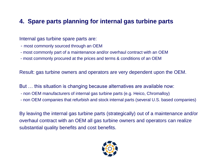#### **4. Spare parts planning for internal gas turbine parts**

#### Internal gas turbine spare parts are:

- most commonly sourced through an OEM
- most commonly part of a maintenance and/or overhaul contract with an OEM
- most commonly procured at the prices and terms & conditions of an OEM

Result: gas turbine owners and operators are very dependent upon the OEM.

But … this situation is changing because alternatives are available now:

- non OEM manufacturers of internal gas turbine parts (e.g. Heico, Chromalloy)
- non OEM companies that refurbish and stock internal parts (several U.S. based companies)

By leaving the internal gas turbine parts (strategically) out of a maintenance and/or overhaul contract with an OEM all gas turbine owners and operators can realize substantial quality benefits and cost benefits.

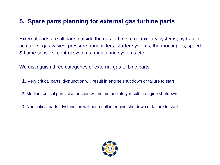#### **5. Spare parts planning for external gas turbine parts**

External parts are all parts outside the gas turbine, e.g. auxiliary systems, hydraulic actuators, gas valves, pressure transmitters, starter systems, thermocouples, speed & flame sensors, control systems, monitoring systems etc.

We distinguish three categories of external gas turbine parts:

- 1. Very critical parts: dysfunction will result in engine shut down or failure to start
- 2. Medium critical parts: dysfunction will not immediately result in engine shutdown
- 3. Non critical parts: dysfunction will not result in engine shutdown or failure to start

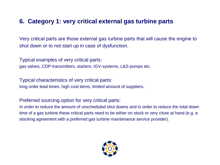#### **6. Category 1: very critical external gas turbine parts**

Very critical parts are those external gas turbine parts that will cause the engine to shut down or to not start up in case of dysfunction.

Typical examples of very critical parts: gas valves, CDP-transmitters, starters, IGV-systems, L&S-pumps etc.

Typical characteristics of very critical parts: long order lead times, high cost items, limited amount of suppliers.

Preferred sourcing option for very critical parts:

In order to reduce the amount of unscheduled shut downs and in order to reduce the total down time of a gas turbine these critical parts need to be either on stock or very close at hand (e.g. a stocking agreement with a preferred gas turbine maintenance service provider).

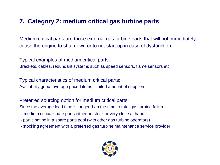#### **7. Category 2: medium critical gas turbine parts**

Medium critical parts are those external gas turbine parts that will not immediately cause the engine to shut down or to not start up in case of dysfunction.

Typical examples of medium critical parts: Brackets, cables, redundant systems such as speed sensors, flame sensors etc.

Typical characteristics of medium critical parts: Availability good, average priced items, limited amount of suppliers.

Preferred sourcing option for medium critical parts:

Since the average lead time is longer than the time to total gas turbine failure:

- medium critical spare parts either on stock or very close at hand
- participating in a spare parts pool (with other gas turbine operators)
- stocking agreement with a preferred gas turbine maintenance service provider

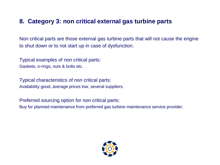#### **8. Category 3: non critical external gas turbine parts**

Non critical parts are those external gas turbine parts that will not cause the engine to shut down or to not start up in case of dysfunction.

Typical examples of non critical parts: Gaskets, o-rings, nuts & bolts etc.

Typical characteristics of non critical parts: Availability good, average prices low, several suppliers.

Preferred sourcing option for non critical parts: Buy for planned maintenance from preferred gas turbine maintenance service provider.

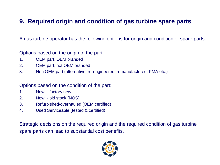#### **9. Required origin and condition of gas turbine spare parts**

A gas turbine operator has the following options for origin and condition of spare parts:

Options based on the origin of the part:

- 1. OEM part, OEM branded
- 2. OEM part, not OEM branded
- 3. Non OEM part (alternative, re-engineered, remanufactured, PMA etc.)

Options based on the condition of the part:

- 1. New factory new
- 2. New old stock (NOS)
- 3. Refurbished/overhauled (OEM certified)
- 4. Used Serviceable (tested & certified)

Strategic decisions on the required origin and the required condition of gas turbine spare parts can lead to substantial cost benefits.

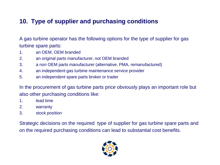### **10. Type of supplier and purchasing conditions**

A gas turbine operator has the following options for the type of supplier for gas turbine spare parts:

- 1. an OEM, OEM branded
- 2. an original parts manufacturer, not OEM branded
- 3. a non OEM parts manufacturer (alternative, PMA, remanufactured)
- 4. an independent gas turbine maintenance service provider
- 5. an independent spare parts broker or trader

In the procurement of gas turbine parts price obviously plays an important role but also other purchasing conditions like:

- 1. lead time
- 2. warranty
- 3. stock position

Strategic decisions on the required type of supplier for gas turbine spare parts and on the required purchasing conditions can lead to substantial cost benefits.

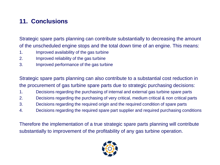## **11. Conclusions**

Strategic spare parts planning can contribute substantially to decreasing the amount of the unscheduled engine stops and the total down time of an engine. This means:

- 1. Improved availability of the gas turbine
- 2. Improved reliability of the gas turbine
- 3. Improved performance of the gas turbine

Strategic spare parts planning can also contribute to a substantial cost reduction in the procurement of gas turbine spare parts due to strategic purchasing decisions:

- 1. Decisions regarding the purchasing of internal and external gas turbine spare parts
- 2. Decisions regarding the purchasing of very critical, medium critical & non critical parts
- 3. Decisions regarding the required origin and the required condition of spare parts
- 4. Decisions regarding the required spare part supplier and required purchasing conditions

Therefore the implementation of a true strategic spare parts planning will contribute substantially to improvement of the profitability of any gas turbine operation.

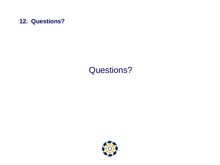

## Questions?